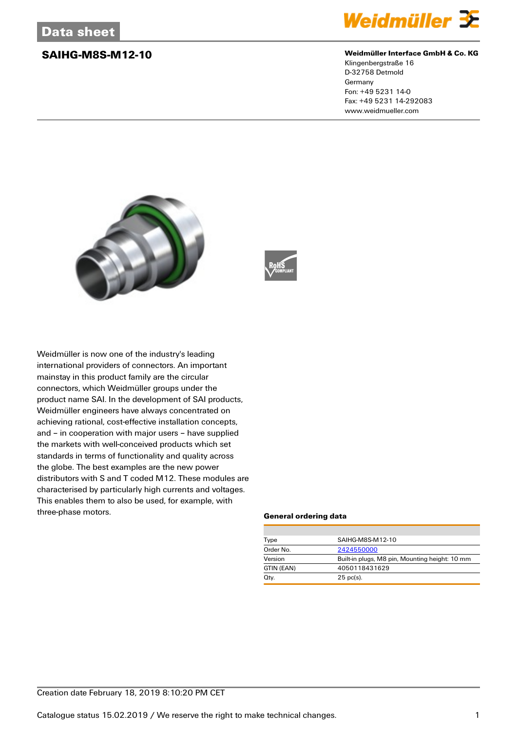

### **SAIHG-M8S-M12-10 Weidmüller Interface GmbH & Co. KG**

Klingenbergstraße 16 D-32758 Detmold Germany Fon: +49 5231 14-0 Fax: +49 5231 14-292083 www.weidmueller.com





Weidmüller is now one of the industry's leading international providers of connectors. An important mainstay in this product family are the circular connectors, which Weidmüller groups under the product name SAI. In the development of SAI products, Weidmüller engineers have always concentrated on achieving rational, cost-effective installation concepts, and – in cooperation with major users – have supplied the markets with well-conceived products which set standards in terms of functionality and quality across the globe. The best examples are the new power distributors with S and T coded M12. These modules are characterised by particularly high currents and voltages. This enables them to also be used, for example, with three-phase motors.

### **General ordering data**

| Type       | SAIHG-M8S-M12-10                               |  |  |
|------------|------------------------------------------------|--|--|
| Order No.  | 2424550000                                     |  |  |
| Version    | Built-in plugs, M8 pin, Mounting height: 10 mm |  |  |
| GTIN (EAN) | 4050118431629                                  |  |  |
| Qty.       | $25$ pc(s).                                    |  |  |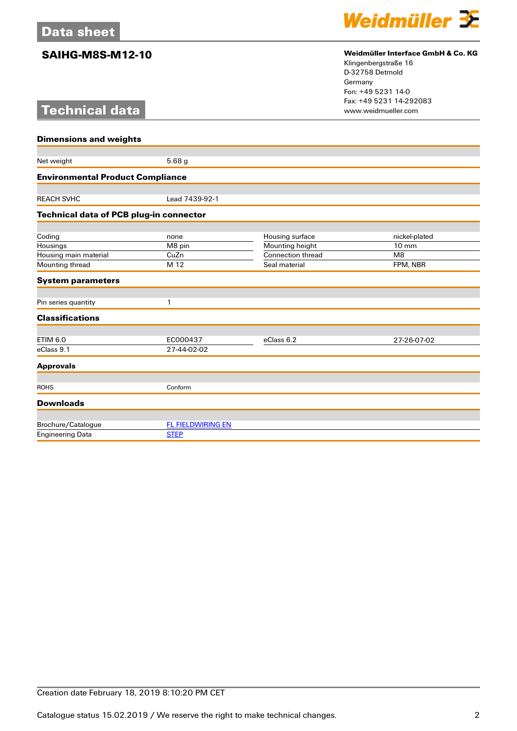# **Technical data**



## **SAIHG-M8S-M12-10 Weidmüller Interface GmbH & Co. KG**

Klingenbergstraße 16 D-32758 Detmold Germany Fon: +49 5231 14-0 Fax: +49 5231 14-292083

| <b>Dimensions and weights</b>           |                          |                          |                 |  |
|-----------------------------------------|--------------------------|--------------------------|-----------------|--|
|                                         |                          |                          |                 |  |
| Net weight                              | 5.68 <sub>g</sub>        |                          |                 |  |
| <b>Environmental Product Compliance</b> |                          |                          |                 |  |
|                                         |                          |                          |                 |  |
| <b>REACH SVHC</b>                       | Lead 7439-92-1           |                          |                 |  |
| Technical data of PCB plug-in connector |                          |                          |                 |  |
|                                         |                          |                          |                 |  |
| Coding                                  | none                     | Housing surface          | nickel-plated   |  |
| Housings                                | M8 pin                   | Mounting height          | $10 \text{ mm}$ |  |
| Housing main material                   | CuZn                     | <b>Connection thread</b> | M8              |  |
| Mounting thread                         | M 12                     | Seal material            | FPM, NBR        |  |
| <b>System parameters</b>                |                          |                          |                 |  |
|                                         | 1                        |                          |                 |  |
| Pin series quantity                     |                          |                          |                 |  |
| <b>Classifications</b>                  |                          |                          |                 |  |
| <b>ETIM 6.0</b>                         | EC000437                 | eClass 6.2               | 27-26-07-02     |  |
| eClass 9.1                              | 27-44-02-02              |                          |                 |  |
| <b>Approvals</b>                        |                          |                          |                 |  |
|                                         |                          |                          |                 |  |
| <b>ROHS</b>                             | Conform                  |                          |                 |  |
| <b>Downloads</b>                        |                          |                          |                 |  |
|                                         |                          |                          |                 |  |
| Brochure/Catalogue                      | <b>FL FIELDWIRING EN</b> |                          |                 |  |
| <b>Engineering Data</b>                 | <b>STEP</b>              |                          |                 |  |